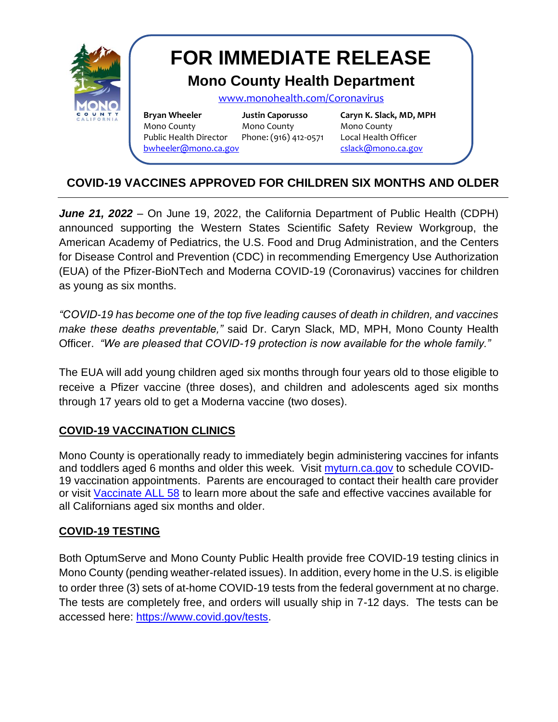

# **FOR IMMEDIATE RELEASE**

# **Mono County Health Department**

[www.monohealth.com/](http://www.monohealth.com/)Coronavirus

**Bryan Wheeler Justin Caporusso Caryn K. Slack, MD, MPH** Mono County Mono County Mono County Public Health Director Phone: (916) 412-0571 Local Health Officer [bwheeler@mono.ca.gov](mailto:bwheeler@mono.ca.gov) [cslack@mono.ca.gov](mailto:cslack@mono.ca.gov)

[justin@caporussocommunications.com](mailto:justin@caporussocommunications.com)

## **COVID-19 VACCINES APPROVED FOR CHILDREN SIX MONTHS AND OLDER**

*June 21, 2022* – On June 19, 2022, the California Department of Public Health (CDPH) announced supporting the Western States Scientific Safety Review Workgroup, the American Academy of Pediatrics, the U.S. Food and Drug Administration, and the Centers for Disease Control and Prevention (CDC) in recommending Emergency Use Authorization (EUA) of the Pfizer-BioNTech and Moderna COVID-19 (Coronavirus) vaccines for children as young as six months.

*"COVID-19 has become one of the top five leading causes of death in children, and vaccines make these deaths preventable,"* said Dr. Caryn Slack, MD, MPH, Mono County Health Officer. *"We are pleased that COVID-19 protection is now available for the whole family."*

The EUA will add young children aged six months through four years old to those eligible to receive a Pfizer vaccine (three doses), and children and adolescents aged six months through 17 years old to get a Moderna vaccine (two doses).

### **COVID-19 VACCINATION CLINICS**

Mono County is operationally ready to immediately begin administering vaccines for infants and toddlers aged 6 months and older this week. Visit [myturn.ca.gov](https://myturn.ca.gov/) to schedule COVID-19 vaccination appointments. Parents are encouraged to contact their health care provider or visit [Vaccinate ALL 58](https://www.vaccinateall58.com/) to learn more about the safe and effective vaccines available for all Californians aged six months and older.

#### **COVID-19 TESTING**

Both OptumServe and Mono County Public Health provide free COVID-19 testing clinics in Mono County (pending weather-related issues). In addition, every home in the U.S. is eligible to order three (3) sets of at-home COVID-19 tests from the federal government at no charge. The tests are completely free, and orders will usually ship in 7-12 days. The tests can be accessed here: [https://www.covid.gov/tests.](https://www.covid.gov/tests)